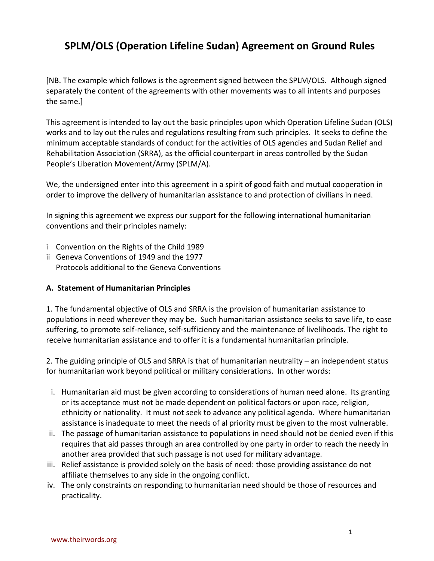# **SPLM/OLS (Operation Lifeline Sudan) Agreement on Ground Rules**

[NB. The example which follows is the agreement signed between the SPLM/OLS. Although signed separately the content of the agreements with other movements was to all intents and purposes the same.]

This agreement is intended to lay out the basic principles upon which Operation Lifeline Sudan (OLS) works and to lay out the rules and regulations resulting from such principles. It seeks to define the minimum acceptable standards of conduct for the activities of OLS agencies and Sudan Relief and Rehabilitation Association (SRRA), as the official counterpart in areas controlled by the Sudan People's Liberation Movement/Army (SPLM/A).

We, the undersigned enter into this agreement in a spirit of good faith and mutual cooperation in order to improve the delivery of humanitarian assistance to and protection of civilians in need.

In signing this agreement we express our support for the following international humanitarian conventions and their principles namely:

- i Convention on the Rights of the Child 1989
- ii Geneva Conventions of 1949 and the 1977 Protocols additional to the Geneva Conventions

#### **A. Statement of Humanitarian Principles**

1. The fundamental objective of OLS and SRRA is the provision of humanitarian assistance to populations in need wherever they may be. Such humanitarian assistance seeks to save life, to ease suffering, to promote self-reliance, self-sufficiency and the maintenance of livelihoods. The right to receive humanitarian assistance and to offer it is a fundamental humanitarian principle.

2. The guiding principle of OLS and SRRA is that of humanitarian neutrality – an independent status for humanitarian work beyond political or military considerations. In other words:

- i. Humanitarian aid must be given according to considerations of human need alone. Its granting or its acceptance must not be made dependent on political factors or upon race, religion, ethnicity or nationality. It must not seek to advance any political agenda. Where humanitarian assistance is inadequate to meet the needs of al priority must be given to the most vulnerable.
- ii. The passage of humanitarian assistance to populations in need should not be denied even if this requires that aid passes through an area controlled by one party in order to reach the needy in another area provided that such passage is not used for military advantage.
- iii. Relief assistance is provided solely on the basis of need: those providing assistance do not affiliate themselves to any side in the ongoing conflict.
- iv. The only constraints on responding to humanitarian need should be those of resources and practicality.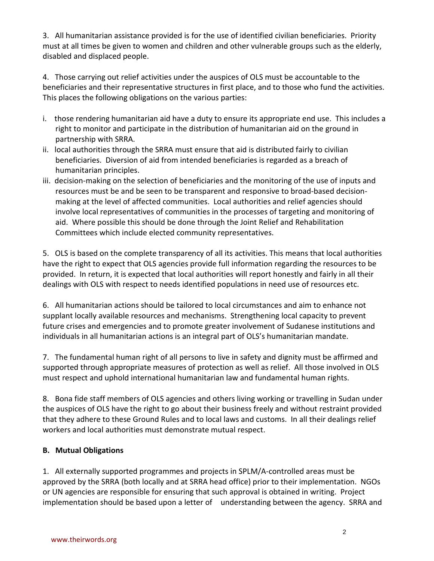3. All humanitarian assistance provided is for the use of identified civilian beneficiaries. Priority must at all times be given to women and children and other vulnerable groups such as the elderly, disabled and displaced people.

4. Those carrying out relief activities under the auspices of OLS must be accountable to the beneficiaries and their representative structures in first place, and to those who fund the activities. This places the following obligations on the various parties:

- i. those rendering humanitarian aid have a duty to ensure its appropriate end use. This includes a right to monitor and participate in the distribution of humanitarian aid on the ground in partnership with SRRA.
- ii. local authorities through the SRRA must ensure that aid is distributed fairly to civilian beneficiaries. Diversion of aid from intended beneficiaries is regarded as a breach of humanitarian principles.
- iii. decision-making on the selection of beneficiaries and the monitoring of the use of inputs and resources must be and be seen to be transparent and responsive to broad-based decisionmaking at the level of affected communities. Local authorities and relief agencies should involve local representatives of communities in the processes of targeting and monitoring of aid. Where possible this should be done through the Joint Relief and Rehabilitation Committees which include elected community representatives.

5. OLS is based on the complete transparency of all its activities. This means that local authorities have the right to expect that OLS agencies provide full information regarding the resources to be provided. In return, it is expected that local authorities will report honestly and fairly in all their dealings with OLS with respect to needs identified populations in need use of resources etc.

6. All humanitarian actions should be tailored to local circumstances and aim to enhance not supplant locally available resources and mechanisms. Strengthening local capacity to prevent future crises and emergencies and to promote greater involvement of Sudanese institutions and individuals in all humanitarian actions is an integral part of OLS's humanitarian mandate.

7. The fundamental human right of all persons to live in safety and dignity must be affirmed and supported through appropriate measures of protection as well as relief. All those involved in OLS must respect and uphold international humanitarian law and fundamental human rights.

8. Bona fide staff members of OLS agencies and others living working or travelling in Sudan under the auspices of OLS have the right to go about their business freely and without restraint provided that they adhere to these Ground Rules and to local laws and customs. In all their dealings relief workers and local authorities must demonstrate mutual respect.

### **B. Mutual Obligations**

1. All externally supported programmes and projects in SPLM/A-controlled areas must be approved by the SRRA (both locally and at SRRA head office) prior to their implementation. NGOs or UN agencies are responsible for ensuring that such approval is obtained in writing. Project implementation should be based upon a letter of understanding between the agency. SRRA and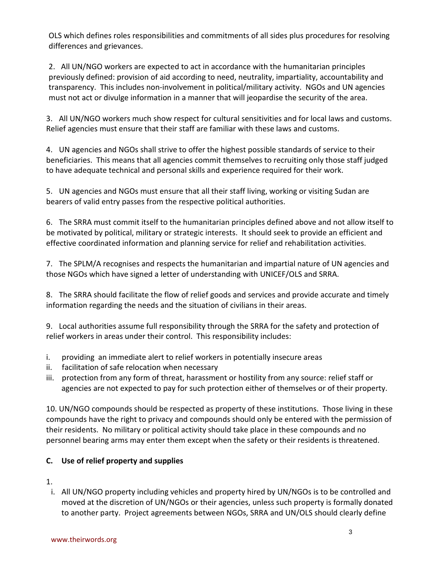OLS which defines roles responsibilities and commitments of all sides plus procedures for resolving differences and grievances.

2. All UN/NGO workers are expected to act in accordance with the humanitarian principles previously defined: provision of aid according to need, neutrality, impartiality, accountability and transparency. This includes non-involvement in political/military activity. NGOs and UN agencies must not act or divulge information in a manner that will jeopardise the security of the area.

3. All UN/NGO workers much show respect for cultural sensitivities and for local laws and customs. Relief agencies must ensure that their staff are familiar with these laws and customs.

4. UN agencies and NGOs shall strive to offer the highest possible standards of service to their beneficiaries. This means that all agencies commit themselves to recruiting only those staff judged to have adequate technical and personal skills and experience required for their work.

5. UN agencies and NGOs must ensure that all their staff living, working or visiting Sudan are bearers of valid entry passes from the respective political authorities.

6. The SRRA must commit itself to the humanitarian principles defined above and not allow itself to be motivated by political, military or strategic interests. It should seek to provide an efficient and effective coordinated information and planning service for relief and rehabilitation activities.

7. The SPLM/A recognises and respects the humanitarian and impartial nature of UN agencies and those NGOs which have signed a letter of understanding with UNICEF/OLS and SRRA.

8. The SRRA should facilitate the flow of relief goods and services and provide accurate and timely information regarding the needs and the situation of civilians in their areas.

9. Local authorities assume full responsibility through the SRRA for the safety and protection of relief workers in areas under their control. This responsibility includes:

- i. providing an immediate alert to relief workers in potentially insecure areas
- ii. facilitation of safe relocation when necessary
- iii. protection from any form of threat, harassment or hostility from any source: relief staff or agencies are not expected to pay for such protection either of themselves or of their property.

10. UN/NGO compounds should be respected as property of these institutions. Those living in these compounds have the right to privacy and compounds should only be entered with the permission of their residents. No military or political activity should take place in these compounds and no personnel bearing arms may enter them except when the safety or their residents is threatened.

### **C. Use of relief property and supplies**

- 1.
- i. All UN/NGO property including vehicles and property hired by UN/NGOs is to be controlled and moved at the discretion of UN/NGOs or their agencies, unless such property is formally donated to another party. Project agreements between NGOs, SRRA and UN/OLS should clearly define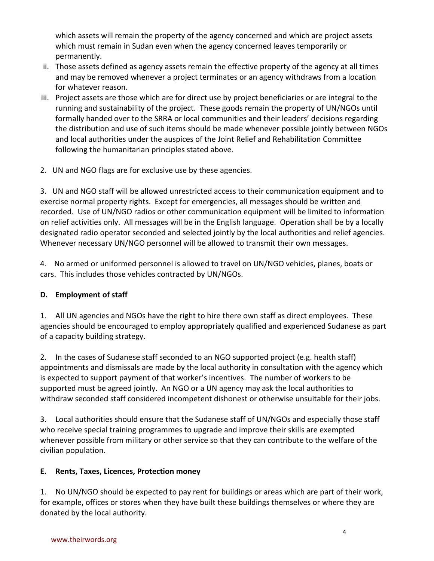which assets will remain the property of the agency concerned and which are project assets which must remain in Sudan even when the agency concerned leaves temporarily or permanently.

- ii. Those assets defined as agency assets remain the effective property of the agency at all times and may be removed whenever a project terminates or an agency withdraws from a location for whatever reason.
- iii. Project assets are those which are for direct use by project beneficiaries or are integral to the running and sustainability of the project. These goods remain the property of UN/NGOs until formally handed over to the SRRA or local communities and their leaders' decisions regarding the distribution and use of such items should be made whenever possible jointly between NGOs and local authorities under the auspices of the Joint Relief and Rehabilitation Committee following the humanitarian principles stated above.
- 2. UN and NGO flags are for exclusive use by these agencies.

3. UN and NGO staff will be allowed unrestricted access to their communication equipment and to exercise normal property rights. Except for emergencies, all messages should be written and recorded. Use of UN/NGO radios or other communication equipment will be limited to information on relief activities only. All messages will be in the English language. Operation shall be by a locally designated radio operator seconded and selected jointly by the local authorities and relief agencies. Whenever necessary UN/NGO personnel will be allowed to transmit their own messages.

4. No armed or uniformed personnel is allowed to travel on UN/NGO vehicles, planes, boats or cars. This includes those vehicles contracted by UN/NGOs.

### **D. Employment of staff**

1. All UN agencies and NGOs have the right to hire there own staff as direct employees. These agencies should be encouraged to employ appropriately qualified and experienced Sudanese as part of a capacity building strategy.

2. In the cases of Sudanese staff seconded to an NGO supported project (e.g. health staff) appointments and dismissals are made by the local authority in consultation with the agency which is expected to support payment of that worker's incentives. The number of workers to be supported must be agreed jointly. An NGO or a UN agency may ask the local authorities to withdraw seconded staff considered incompetent dishonest or otherwise unsuitable for their jobs.

3. Local authorities should ensure that the Sudanese staff of UN/NGOs and especially those staff who receive special training programmes to upgrade and improve their skills are exempted whenever possible from military or other service so that they can contribute to the welfare of the civilian population.

### **E. Rents, Taxes, Licences, Protection money**

1. No UN/NGO should be expected to pay rent for buildings or areas which are part of their work, for example, offices or stores when they have built these buildings themselves or where they are donated by the local authority.